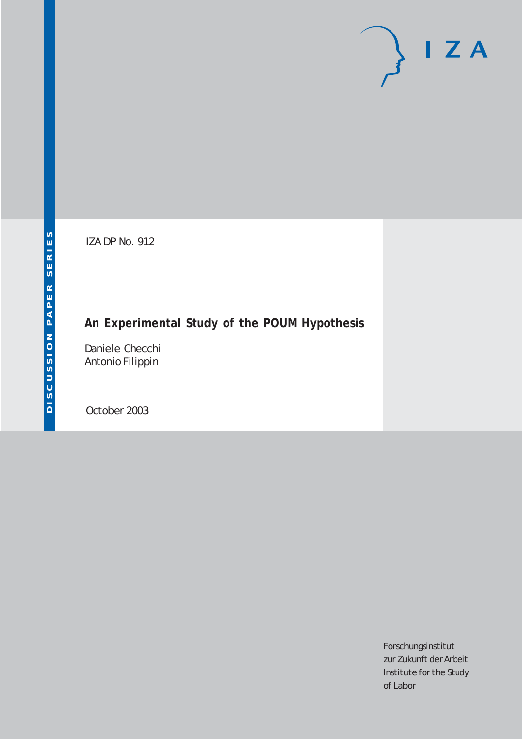# $I Z A$

IZA DP No. 912

## **An Experimental Study of the POUM Hypothesis**

Daniele Checchi Antonio Filippin

October 2003

Forschungsinstitut zur Zukunft der Arbeit Institute for the Study of Labor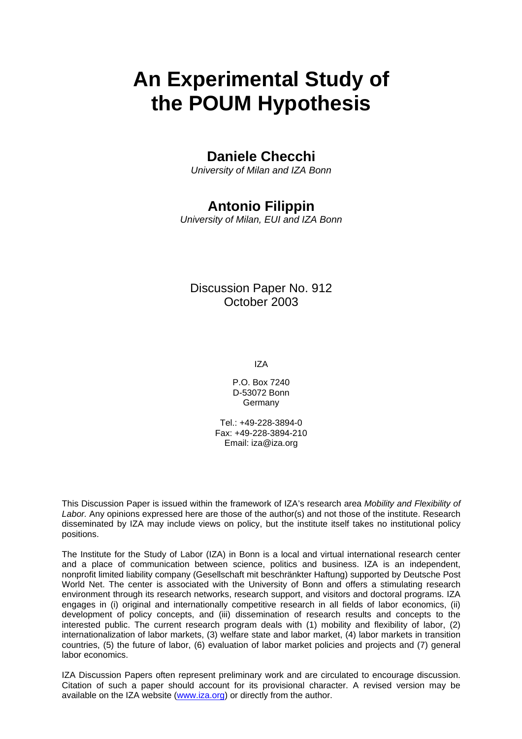# **An Experimental Study of the POUM Hypothesis**

## **Daniele Checchi**

*University of Milan and IZA Bonn* 

## **Antonio Filippin**

*University of Milan, EUI and IZA Bonn*

### Discussion Paper No. 912 October 2003

IZA

P.O. Box 7240 D-53072 Bonn **Germany** 

Tel.: +49-228-3894-0 Fax: +49-228-3894-210 Email: [iza@iza.org](mailto:iza@iza.org)

This Discussion Paper is issued within the framework of IZA's research area *Mobility and Flexibility of Labor.* Any opinions expressed here are those of the author(s) and not those of the institute. Research disseminated by IZA may include views on policy, but the institute itself takes no institutional policy positions.

The Institute for the Study of Labor (IZA) in Bonn is a local and virtual international research center and a place of communication between science, politics and business. IZA is an independent, nonprofit limited liability company (Gesellschaft mit beschränkter Haftung) supported by Deutsche Post World Net. The center is associated with the University of Bonn and offers a stimulating research environment through its research networks, research support, and visitors and doctoral programs. IZA engages in (i) original and internationally competitive research in all fields of labor economics, (ii) development of policy concepts, and (iii) dissemination of research results and concepts to the interested public. The current research program deals with (1) mobility and flexibility of labor, (2) internationalization of labor markets, (3) welfare state and labor market, (4) labor markets in transition countries, (5) the future of labor, (6) evaluation of labor market policies and projects and (7) general labor economics.

IZA Discussion Papers often represent preliminary work and are circulated to encourage discussion. Citation of such a paper should account for its provisional character. A revised version may be available on the IZA website ([www.iza.org](http://www.iza.org/)) or directly from the author.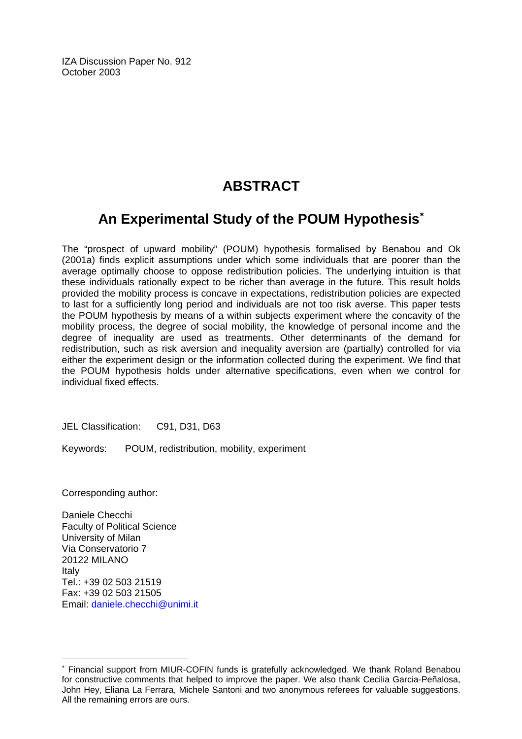IZA Discussion Paper No. 912 October 2003

## **ABSTRACT**

## **An Experimental Study of the POUM Hypothesis**[∗](#page-2-0)

The "prospect of upward mobility" (POUM) hypothesis formalised by Benabou and Ok (2001a) finds explicit assumptions under which some individuals that are poorer than the average optimally choose to oppose redistribution policies. The underlying intuition is that these individuals rationally expect to be richer than average in the future. This result holds provided the mobility process is concave in expectations, redistribution policies are expected to last for a sufficiently long period and individuals are not too risk averse. This paper tests the POUM hypothesis by means of a within subjects experiment where the concavity of the mobility process, the degree of social mobility, the knowledge of personal income and the degree of inequality are used as treatments. Other determinants of the demand for redistribution, such as risk aversion and inequality aversion are (partially) controlled for via either the experiment design or the information collected during the experiment. We find that the POUM hypothesis holds under alternative specifications, even when we control for individual fixed effects.

JEL Classification: C91, D31, D63

Keywords: POUM, redistribution, mobility, experiment

Corresponding author:

 $\overline{a}$ 

Daniele Checchi Faculty of Political Science University of Milan Via Conservatorio 7 20122 MILANO Italy Tel.: +39 02 503 21519 Fax: +39 02 503 21505 Email: [daniele.checchi@unimi.it](mailto:daniele.checchi@unimi.it)

<span id="page-2-0"></span><sup>∗</sup> Financial support from MIUR-COFIN funds is gratefully acknowledged. We thank Roland Benabou for constructive comments that helped to improve the paper. We also thank Cecilia Garcia-Peñalosa, John Hey, Eliana La Ferrara, Michele Santoni and two anonymous referees for valuable suggestions. All the remaining errors are ours.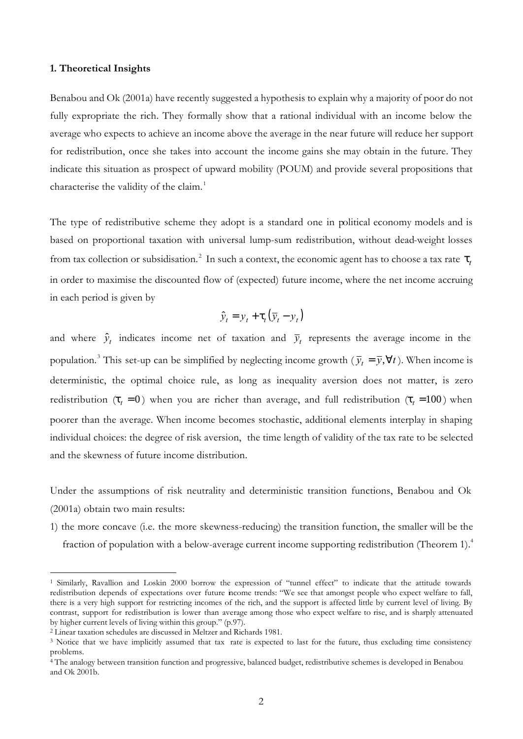#### **1. Theoretical Insights**

Benabou and Ok (2001a) have recently suggested a hypothesis to explain why a majority of poor do not fully expropriate the rich. They formally show that a rational individual with an income below the average who expects to achieve an income above the average in the near future will reduce her support for redistribution, once she takes into account the income gains she may obtain in the future. They indicate this situation as prospect of upward mobility (POUM) and provide several propositions that characterise the validity of the claim.<sup>1</sup>

The type of redistributive scheme they adopt is a standard one in political economy models and is based on proportional taxation with universal lump-sum redistribution, without dead-weight losses from tax collection or subsidisation.<sup>2</sup> In such a context, the economic agent has to choose a tax rate  $\tau_t$ in order to maximise the discounted flow of (expected) future income, where the net income accruing in each period is given by

$$
\hat{y}_t = y_t + \tau_t (\overline{y}_t - y_t)
$$

and where  $\hat{y}_t$  indicates income net of taxation and  $\bar{y}_t$  represents the average income in the population.<sup>3</sup> This set-up can be simplified by neglecting income growth  $(\bar{y}_t = \bar{y}, \forall t)$ . When income is deterministic, the optimal choice rule, as long as inequality aversion does not matter, is zero redistribution ( $\tau_t = 0$ ) when you are richer than average, and full redistribution ( $\tau_t = 100$ ) when poorer than the average. When income becomes stochastic, additional elements interplay in shaping individual choices: the degree of risk aversion, the time length of validity of the tax rate to be selected and the skewness of future income distribution.

Under the assumptions of risk neutrality and deterministic transition functions, Benabou and Ok (2001a) obtain two main results:

1) the more concave (i.e. the more skewness-reducing) the transition function, the smaller will be the fraction of population with a below-average current income supporting redistribution (Theorem 1).<sup>4</sup>

l

<sup>1</sup> Similarly, Ravallion and Loskin 2000 borrow the expression of "tunnel effect" to indicate that the attitude towards redistribution depends of expectations over future income trends: "We see that amongst people who expect welfare to fall, there is a very high support for restricting incomes of the rich, and the support is affected little by current level of living. By contrast, support for redistribution is lower than average among those who expect welfare to rise, and is sharply attenuated by higher current levels of living within this group." (p.97).

<sup>2</sup> Linear taxation schedules are discussed in Meltzer and Richards 1981.

<sup>&</sup>lt;sup>3</sup> Notice that we have implicitly assumed that tax rate is expected to last for the future, thus excluding time consistency problems.

<sup>4</sup> The analogy between transition function and progressive, balanced budget, redistributive schemes is developed in Benabou and Ok 2001b.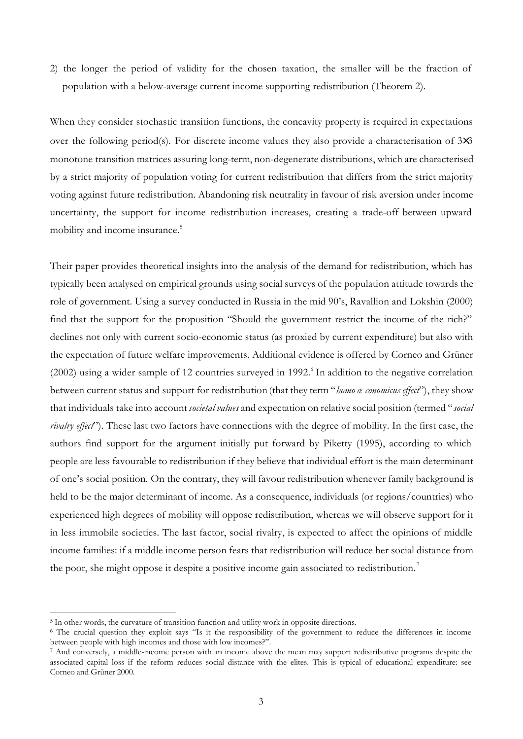2) the longer the period of validity for the chosen taxation, the smaller will be the fraction of population with a below-average current income supporting redistribution (Theorem 2).

When they consider stochastic transition functions, the concavity property is required in expectations over the following period(s). For discrete income values they also provide a characterisation of 3×3 monotone transition matrices assuring long-term, non-degenerate distributions, which are characterised by a strict majority of population voting for current redistribution that differs from the strict majority voting against future redistribution. Abandoning risk neutrality in favour of risk aversion under income uncertainty, the support for income redistribution increases, creating a trade-off between upward mobility and income insurance.<sup>5</sup>

Their paper provides theoretical insights into the analysis of the demand for redistribution, which has typically been analysed on empirical grounds using social surveys of the population attitude towards the role of government. Using a survey conducted in Russia in the mid 90's, Ravallion and Lokshin (2000) find that the support for the proposition "Should the government restrict the income of the rich?" declines not only with current socio-economic status (as proxied by current expenditure) but also with the expectation of future welfare improvements. Additional evidence is offered by Corneo and Grüner (2002) using a wider sample of 12 countries surveyed in 1992.<sup>6</sup> In addition to the negative correlation between current status and support for redistribution (that they term "*homo œ conomicus effect*"), they show that individuals take into account *societal values* and expectation on relative social position (termed "*social rivalry effect*"). These last two factors have connections with the degree of mobility. In the first case, the authors find support for the argument initially put forward by Piketty (1995), according to which people are less favourable to redistribution if they believe that individual effort is the main determinant of one's social position. On the contrary, they will favour redistribution whenever family background is held to be the major determinant of income. As a consequence, individuals (or regions/countries) who experienced high degrees of mobility will oppose redistribution, whereas we will observe support for it in less immobile societies. The last factor, social rivalry, is expected to affect the opinions of middle income families: if a middle income person fears that redistribution will reduce her social distance from the poor, she might oppose it despite a positive income gain associated to redistribution.<sup>7</sup>

<sup>5</sup> In other words, the curvature of transition function and utility work in opposite directions.

<sup>6</sup> The crucial question they exploit says "Is it the responsibility of the government to reduce the differences in income between people with high incomes and those with low incomes?".

<sup>7</sup> And conversely, a middle-income person with an income above the mean may support redistributive programs despite the associated capital loss if the reform reduces social distance with the elites. This is typical of educational expenditure: see Corneo and Grüner 2000.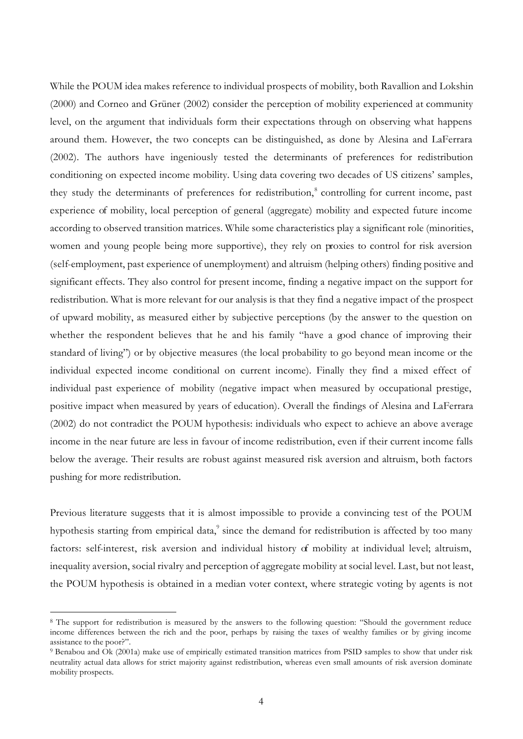While the POUM idea makes reference to individual prospects of mobility, both Ravallion and Lokshin (2000) and Corneo and Grüner (2002) consider the perception of mobility experienced at community level, on the argument that individuals form their expectations through on observing what happens around them. However, the two concepts can be distinguished, as done by Alesina and LaFerrara (2002). The authors have ingeniously tested the determinants of preferences for redistribution conditioning on expected income mobility. Using data covering two decades of US citizens' samples, they study the determinants of preferences for redistribution,<sup>8</sup> controlling for current income, past experience of mobility, local perception of general (aggregate) mobility and expected future income according to observed transition matrices. While some characteristics play a significant role (minorities, women and young people being more supportive), they rely on proxies to control for risk aversion (self-employment, past experience of unemployment) and altruism (helping others) finding positive and significant effects. They also control for present income, finding a negative impact on the support for redistribution. What is more relevant for our analysis is that they find a negative impact of the prospect of upward mobility, as measured either by subjective perceptions (by the answer to the question on whether the respondent believes that he and his family "have a good chance of improving their standard of living") or by objective measures (the local probability to go beyond mean income or the individual expected income conditional on current income). Finally they find a mixed effect of individual past experience of mobility (negative impact when measured by occupational prestige, positive impact when measured by years of education). Overall the findings of Alesina and LaFerrara (2002) do not contradict the POUM hypothesis: individuals who expect to achieve an above average income in the near future are less in favour of income redistribution, even if their current income falls below the average. Their results are robust against measured risk aversion and altruism, both factors pushing for more redistribution.

Previous literature suggests that it is almost impossible to provide a convincing test of the POUM hypothesis starting from empirical data,<sup>9</sup> since the demand for redistribution is affected by too many factors: self-interest, risk aversion and individual history of mobility at individual level; altruism, inequality aversion, social rivalry and perception of aggregate mobility at social level. Last, but not least, the POUM hypothesis is obtained in a median voter context, where strategic voting by agents is not

<sup>8</sup> The support for redistribution is measured by the answers to the following question: "Should the government reduce income differences between the rich and the poor, perhaps by raising the taxes of wealthy families or by giving income assistance to the poor?".

<sup>9</sup> Benabou and Ok (2001a) make use of empirically estimated transition matrices from PSID samples to show that under risk neutrality actual data allows for strict majority against redistribution, whereas even small amounts of risk aversion dominate mobility prospects.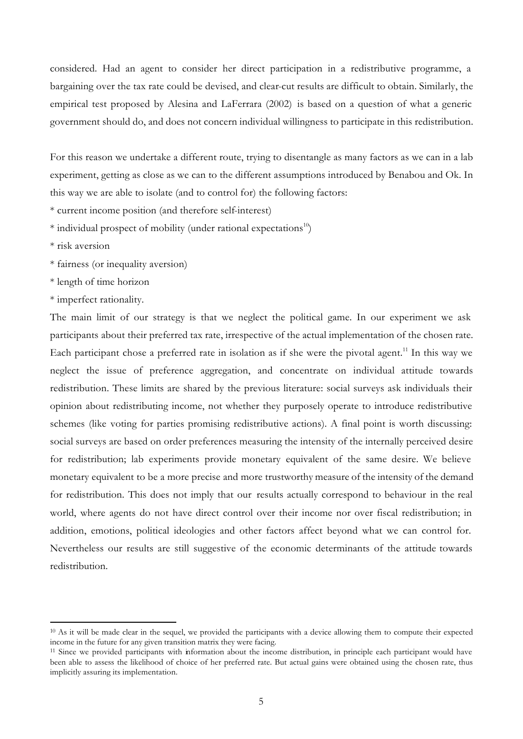considered. Had an agent to consider her direct participation in a redistributive programme, a bargaining over the tax rate could be devised, and clear-cut results are difficult to obtain. Similarly, the empirical test proposed by Alesina and LaFerrara (2002) is based on a question of what a generic government should do, and does not concern individual willingness to participate in this redistribution.

For this reason we undertake a different route, trying to disentangle as many factors as we can in a lab experiment, getting as close as we can to the different assumptions introduced by Benabou and Ok. In this way we are able to isolate (and to control for) the following factors:

\* current income position (and therefore self-interest)

- $*$  individual prospect of mobility (under rational expectations<sup>10</sup>)
- \* risk aversion

 $\overline{a}$ 

- \* fairness (or inequality aversion)
- \* length of time horizon
- \* imperfect rationality.

The main limit of our strategy is that we neglect the political game. In our experiment we ask participants about their preferred tax rate, irrespective of the actual implementation of the chosen rate. Each participant chose a preferred rate in isolation as if she were the pivotal agent.<sup>11</sup> In this way we neglect the issue of preference aggregation, and concentrate on individual attitude towards redistribution. These limits are shared by the previous literature: social surveys ask individuals their opinion about redistributing income, not whether they purposely operate to introduce redistributive schemes (like voting for parties promising redistributive actions). A final point is worth discussing: social surveys are based on order preferences measuring the intensity of the internally perceived desire for redistribution; lab experiments provide monetary equivalent of the same desire. We believe monetary equivalent to be a more precise and more trustworthy measure of the intensity of the demand for redistribution. This does not imply that our results actually correspond to behaviour in the real world, where agents do not have direct control over their income nor over fiscal redistribution; in addition, emotions, political ideologies and other factors affect beyond what we can control for. Nevertheless our results are still suggestive of the economic determinants of the attitude towards redistribution.

<sup>&</sup>lt;sup>10</sup> As it will be made clear in the sequel, we provided the participants with a device allowing them to compute their expected income in the future for any given transition matrix they were facing.

<sup>&</sup>lt;sup>11</sup> Since we provided participants with information about the income distribution, in principle each participant would have been able to assess the likelihood of choice of her preferred rate. But actual gains were obtained using the chosen rate, thus implicitly assuring its implementation.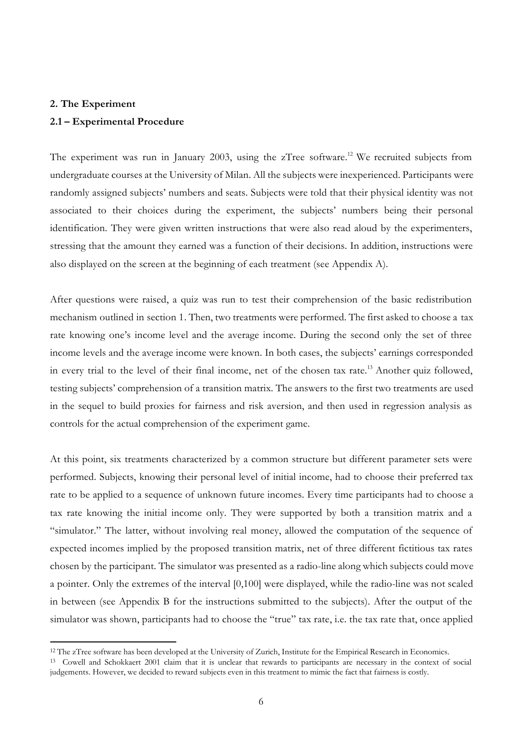## **2. The Experiment 2.1 – Experimental Procedure**

 $\overline{a}$ 

The experiment was run in January 2003, using the zTree software.<sup>12</sup> We recruited subjects from undergraduate courses at the University of Milan. All the subjects were inexperienced. Participants were randomly assigned subjects' numbers and seats. Subjects were told that their physical identity was not associated to their choices during the experiment, the subjects' numbers being their personal identification. They were given written instructions that were also read aloud by the experimenters, stressing that the amount they earned was a function of their decisions. In addition, instructions were also displayed on the screen at the beginning of each treatment (see Appendix A).

After questions were raised, a quiz was run to test their comprehension of the basic redistribution mechanism outlined in section 1. Then, two treatments were performed. The first asked to choose a tax rate knowing one's income level and the average income. During the second only the set of three income levels and the average income were known. In both cases, the subjects' earnings corresponded in every trial to the level of their final income, net of the chosen tax rate.<sup>13</sup> Another quiz followed, testing subjects' comprehension of a transition matrix. The answers to the first two treatments are used in the sequel to build proxies for fairness and risk aversion, and then used in regression analysis as controls for the actual comprehension of the experiment game.

At this point, six treatments characterized by a common structure but different parameter sets were performed. Subjects, knowing their personal level of initial income, had to choose their preferred tax rate to be applied to a sequence of unknown future incomes. Every time participants had to choose a tax rate knowing the initial income only. They were supported by both a transition matrix and a "simulator." The latter, without involving real money, allowed the computation of the sequence of expected incomes implied by the proposed transition matrix, net of three different fictitious tax rates chosen by the participant. The simulator was presented as a radio-line along which subjects could move a pointer. Only the extremes of the interval [0,100] were displayed, while the radio-line was not scaled in between (see Appendix B for the instructions submitted to the subjects). After the output of the simulator was shown, participants had to choose the "true" tax rate, i.e. the tax rate that, once applied

<sup>&</sup>lt;sup>12</sup> The zTree software has been developed at the University of Zurich, Institute for the Empirical Research in Economics.

<sup>13</sup> Cowell and Schokkaert 2001 claim that it is unclear that rewards to participants are necessary in the context of social judgements. However, we decided to reward subjects even in this treatment to mimic the fact that fairness is costly.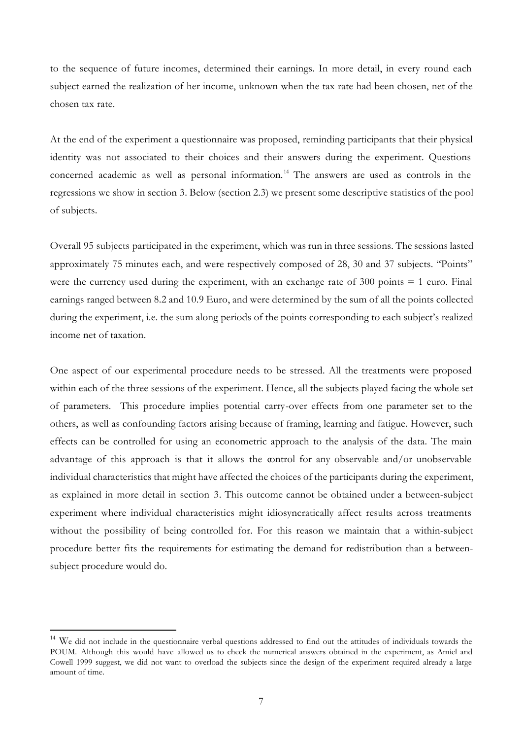to the sequence of future incomes, determined their earnings. In more detail, in every round each subject earned the realization of her income, unknown when the tax rate had been chosen, net of the chosen tax rate.

At the end of the experiment a questionnaire was proposed, reminding participants that their physical identity was not associated to their choices and their answers during the experiment. Questions concerned academic as well as personal information.<sup>14</sup> The answers are used as controls in the regressions we show in section 3. Below (section 2.3) we present some descriptive statistics of the pool of subjects.

Overall 95 subjects participated in the experiment, which was run in three sessions. The sessions lasted approximately 75 minutes each, and were respectively composed of 28, 30 and 37 subjects. "Points" were the currency used during the experiment, with an exchange rate of  $300$  points = 1 euro. Final earnings ranged between 8.2 and 10.9 Euro, and were determined by the sum of all the points collected during the experiment, i.e. the sum along periods of the points corresponding to each subject's realized income net of taxation.

One aspect of our experimental procedure needs to be stressed. All the treatments were proposed within each of the three sessions of the experiment. Hence, all the subjects played facing the whole set of parameters. This procedure implies potential carry-over effects from one parameter set to the others, as well as confounding factors arising because of framing, learning and fatigue. However, such effects can be controlled for using an econometric approach to the analysis of the data. The main advantage of this approach is that it allows the control for any observable and/or unobservable individual characteristics that might have affected the choices of the participants during the experiment, as explained in more detail in section 3. This outcome cannot be obtained under a between-subject experiment where individual characteristics might idiosyncratically affect results across treatments without the possibility of being controlled for. For this reason we maintain that a within-subject procedure better fits the requirements for estimating the demand for redistribution than a betweensubject procedure would do.

<sup>&</sup>lt;sup>14</sup> We did not include in the questionnaire verbal questions addressed to find out the attitudes of individuals towards the POUM. Although this would have allowed us to check the numerical answers obtained in the experiment, as Amiel and Cowell 1999 suggest, we did not want to overload the subjects since the design of the experiment required already a large amount of time.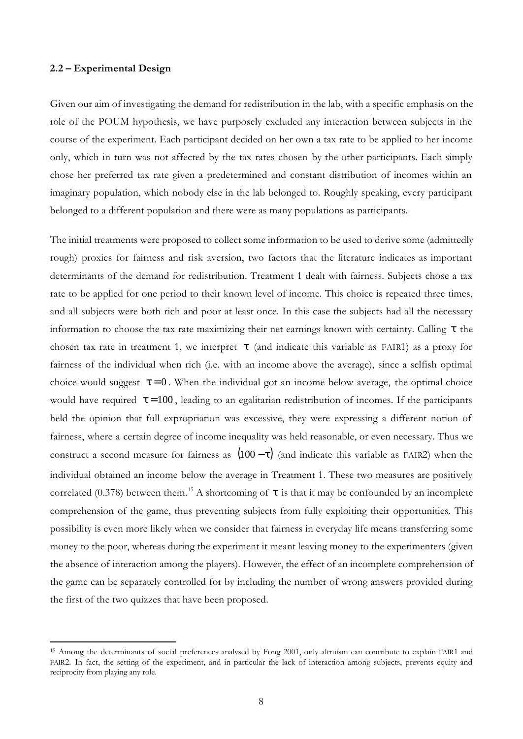#### **2.2 – Experimental Design**

 $\overline{a}$ 

Given our aim of investigating the demand for redistribution in the lab, with a specific emphasis on the role of the POUM hypothesis, we have purposely excluded any interaction between subjects in the course of the experiment. Each participant decided on her own a tax rate to be applied to her income only, which in turn was not affected by the tax rates chosen by the other participants. Each simply chose her preferred tax rate given a predetermined and constant distribution of incomes within an imaginary population, which nobody else in the lab belonged to. Roughly speaking, every participant belonged to a different population and there were as many populations as participants.

The initial treatments were proposed to collect some information to be used to derive some (admittedly rough) proxies for fairness and risk aversion, two factors that the literature indicates as important determinants of the demand for redistribution. Treatment 1 dealt with fairness. Subjects chose a tax rate to be applied for one period to their known level of income. This choice is repeated three times, and all subjects were both rich and poor at least once. In this case the subjects had all the necessary information to choose the tax rate maximizing their net earnings known with certainty. Calling τ the chosen tax rate in treatment 1, we interpret  $\tau$  (and indicate this variable as FAIR1) as a proxy for fairness of the individual when rich (i.e. with an income above the average), since a selfish optimal choice would suggest  $\tau = 0$ . When the individual got an income below average, the optimal choice would have required  $\tau = 100$ , leading to an egalitarian redistribution of incomes. If the participants held the opinion that full expropriation was excessive, they were expressing a different notion of fairness, where a certain degree of income inequality was held reasonable, or even necessary. Thus we construct a second measure for fairness as  $(100 - \tau)$  (and indicate this variable as FAIR2) when the individual obtained an income below the average in Treatment 1. These two measures are positively correlated (0.378) between them.<sup>15</sup> A shortcoming of  $\tau$  is that it may be confounded by an incomplete comprehension of the game, thus preventing subjects from fully exploiting their opportunities. This possibility is even more likely when we consider that fairness in everyday life means transferring some money to the poor, whereas during the experiment it meant leaving money to the experimenters (given the absence of interaction among the players). However, the effect of an incomplete comprehension of the game can be separately controlled for by including the number of wrong answers provided during the first of the two quizzes that have been proposed.

<sup>15</sup> Among the determinants of social preferences analysed by Fong 2001, only altruism can contribute to explain FAIR1 and FAIR2. In fact, the setting of the experiment, and in particular the lack of interaction among subjects, prevents equity and reciprocity from playing any role.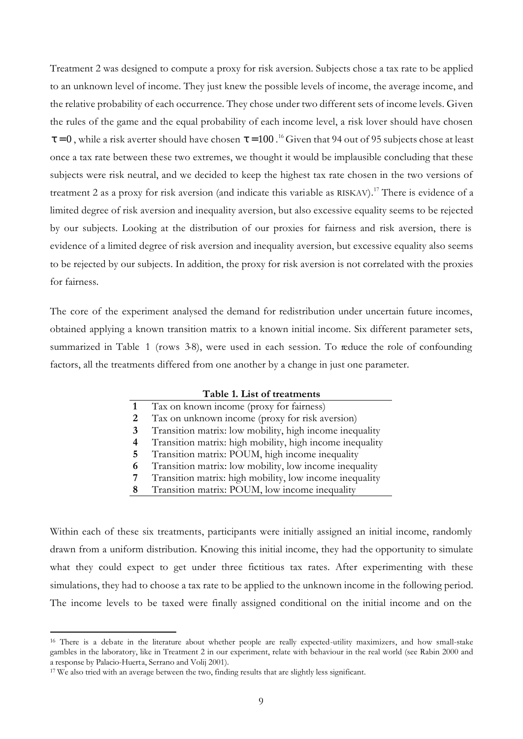Treatment 2 was designed to compute a proxy for risk aversion. Subjects chose a tax rate to be applied to an unknown level of income. They just knew the possible levels of income, the average income, and the relative probability of each occurrence. They chose under two different sets of income levels. Given the rules of the game and the equal probability of each income level, a risk lover should have chosen  $\tau$  = 0, while a risk averter should have chosen  $\tau$  = 100 .<sup>16</sup> Given that 94 out of 95 subjects chose at least once a tax rate between these two extremes, we thought it would be implausible concluding that these subjects were risk neutral, and we decided to keep the highest tax rate chosen in the two versions of treatment 2 as a proxy for risk aversion (and indicate this variable as RISKAV).<sup>17</sup> There is evidence of a limited degree of risk aversion and inequality aversion, but also excessive equality seems to be rejected by our subjects. Looking at the distribution of our proxies for fairness and risk aversion, there is evidence of a limited degree of risk aversion and inequality aversion, but excessive equality also seems to be rejected by our subjects. In addition, the proxy for risk aversion is not correlated with the proxies for fairness.

The core of the experiment analysed the demand for redistribution under uncertain future incomes, obtained applying a known transition matrix to a known initial income. Six different parameter sets, summarized in Table 1 (rows 3-8), were used in each session. To reduce the role of confounding factors, all the treatments differed from one another by a change in just one parameter.

|    | Tax on known income (proxy for fairness)                 |
|----|----------------------------------------------------------|
| 2  | Tax on unknown income (proxy for risk aversion)          |
| 3  | Transition matrix: low mobility, high income inequality  |
| 4  | Transition matrix: high mobility, high income inequality |
| 5. | Transition matrix: POUM, high income inequality          |
| 6  | Transition matrix: low mobility, low income inequality   |
| 7  | Transition matrix: high mobility, low income inequality  |
|    | Transition matrix: POUM, low income inequality           |
|    |                                                          |

**Table 1. List of treatments**

Within each of these six treatments, participants were initially assigned an initial income, randomly drawn from a uniform distribution. Knowing this initial income, they had the opportunity to simulate what they could expect to get under three fictitious tax rates. After experimenting with these simulations, they had to choose a tax rate to be applied to the unknown income in the following period. The income levels to be taxed were finally assigned conditional on the initial income and on the

<sup>16</sup> There is a debate in the literature about whether people are really expected-utility maximizers, and how small-stake gambles in the laboratory, like in Treatment 2 in our experiment, relate with behaviour in the real world (see Rabin 2000 and a response by Palacio-Huerta, Serrano and Volij 2001).

<sup>&</sup>lt;sup>17</sup> We also tried with an average between the two, finding results that are slightly less significant.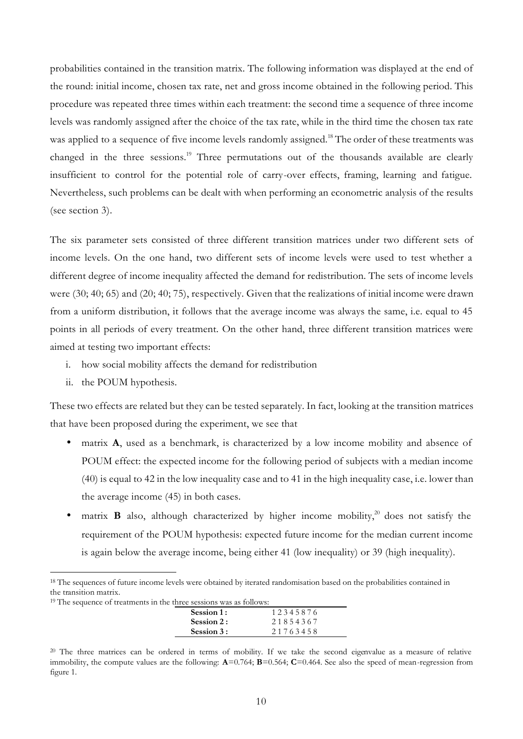probabilities contained in the transition matrix. The following information was displayed at the end of the round: initial income, chosen tax rate, net and gross income obtained in the following period. This procedure was repeated three times within each treatment: the second time a sequence of three income levels was randomly assigned after the choice of the tax rate, while in the third time the chosen tax rate was applied to a sequence of five income levels randomly assigned.<sup>18</sup> The order of these treatments was changed in the three sessions.<sup>19</sup> Three permutations out of the thousands available are clearly insufficient to control for the potential role of carry-over effects, framing, learning and fatigue. Nevertheless, such problems can be dealt with when performing an econometric analysis of the results (see section 3).

The six parameter sets consisted of three different transition matrices under two different sets of income levels. On the one hand, two different sets of income levels were used to test whether a different degree of income inequality affected the demand for redistribution. The sets of income levels were (30; 40; 65) and (20; 40; 75), respectively. Given that the realizations of initial income were drawn from a uniform distribution, it follows that the average income was always the same, i.e. equal to 45 points in all periods of every treatment. On the other hand, three different transition matrices were aimed at testing two important effects:

- i. how social mobility affects the demand for redistribution
- ii. the POUM hypothesis.

l

These two effects are related but they can be tested separately. In fact, looking at the transition matrices that have been proposed during the experiment, we see that

- matrix **A**, used as a benchmark, is characterized by a low income mobility and absence of POUM effect: the expected income for the following period of subjects with a median income (40) is equal to 42 in the low inequality case and to 41 in the high inequality case, i.e. lower than the average income (45) in both cases.
- matrix **B** also, although characterized by higher income mobility,<sup>20</sup> does not satisfy the requirement of the POUM hypothesis: expected future income for the median current income is again below the average income, being either 41 (low inequality) or 39 (high inequality).

<sup>&</sup>lt;sup>18</sup> The sequences of future income levels were obtained by iterated randomisation based on the probabilities contained in the transition matrix.

| <sup>19</sup> The sequence of treatments in the three sessions was as follows: |  |  |
|--------------------------------------------------------------------------------|--|--|
|                                                                                |  |  |

| инсе эсээнлэ маз аз нэшэмэ. |          |
|-----------------------------|----------|
| Session 1:                  | 12345876 |
| Session 2:                  | 21854367 |
| Session 3:                  | 21763458 |
|                             |          |

<sup>&</sup>lt;sup>20</sup> The three matrices can be ordered in terms of mobility. If we take the second eigenvalue as a measure of relative immobility, the compute values are the following: **A**=0.764; **B**=0.564; **C**=0.464. See also the speed of mean-regression from figure 1.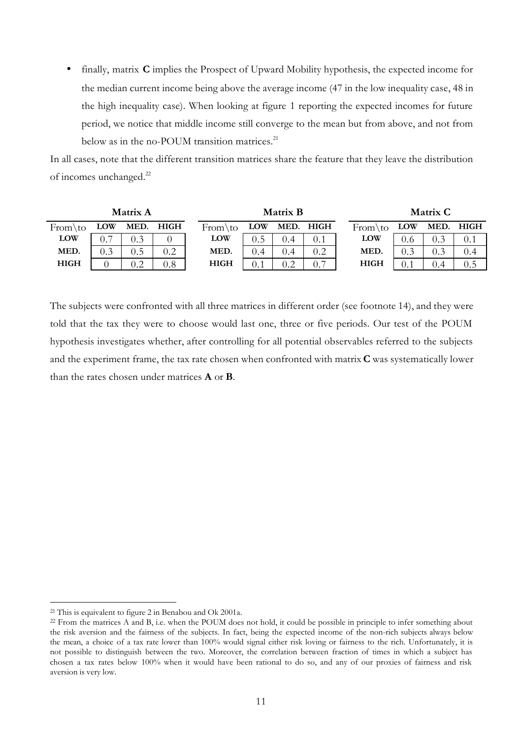• finally, matrix **C** implies the Prospect of Upward Mobility hypothesis, the expected income for the median current income being above the average income (47 in the low inequality case, 48 in the high inequality case). When looking at figure 1 reporting the expected incomes for future period, we notice that middle income still converge to the mean but from above, and not from below as in the no-POUM transition matrices.<sup>21</sup>

In all cases, note that the different transition matrices share the feature that they leave the distribution of incomes unchanged.<sup>22</sup>

| Matrix A          |     |     |           |                   | Matrix B   |     |           |                 | Matrix C   |     |           |
|-------------------|-----|-----|-----------|-------------------|------------|-----|-----------|-----------------|------------|-----|-----------|
| $From \to \infty$ | LOW |     | MED. HIGH | $From \to \infty$ | <b>LOW</b> |     | MED. HIGH | $From\to\infty$ | <b>LOW</b> |     | MED. HIGH |
| <b>LOW</b>        | 0.7 |     |           | LOW               | 0.5        | 0.4 | 0.1       | LOW             | 0.6        |     |           |
| MED.              | 0.3 | 0.5 | 0.2       | MED.              | 0.4        | 0.4 | 0.2       | MED.            | 0.3        | 0.3 | 0.4       |
| <b>HIGH</b>       |     |     | 0.8       | <b>HIGH</b>       | $0.1\,$    |     | 0.7       | <b>HIGH</b>     |            | 0.4 |           |

The subjects were confronted with all three matrices in different order (see footnote 14), and they were told that the tax they were to choose would last one, three or five periods. Our test of the POUM hypothesis investigates whether, after controlling for all potential observables referred to the subjects and the experiment frame, the tax rate chosen when confronted with matrix **C** was systematically lower than the rates chosen under matrices **A** or **B**.

l

<sup>21</sup> This is equivalent to figure 2 in Benabou and Ok 2001a.

<sup>&</sup>lt;sup>22</sup> From the matrices A and B, i.e. when the POUM does not hold, it could be possible in principle to infer something about the risk aversion and the fairness of the subjects. In fact, being the expected income of the non-rich subjects always below the mean, a choice of a tax rate lower than 100% would signal either risk loving or fairness to the rich. Unfortunately, it is not possible to distinguish between the two. Moreover, the correlation between fraction of times in which a subject has chosen a tax rates below 100% when it would have been rational to do so, and any of our proxies of fairness and risk aversion is very low.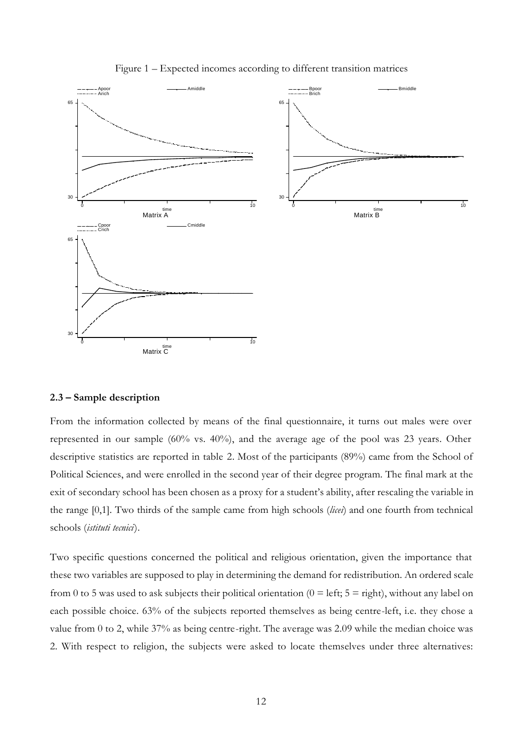

Figure 1 – Expected incomes according to different transition matrices

#### **2.3 – Sample description**

From the information collected by means of the final questionnaire, it turns out males were over represented in our sample (60% vs. 40%), and the average age of the pool was 23 years. Other descriptive statistics are reported in table 2. Most of the participants (89%) came from the School of Political Sciences, and were enrolled in the second year of their degree program. The final mark at the exit of secondary school has been chosen as a proxy for a student's ability, after rescaling the variable in the range [0,1]. Two thirds of the sample came from high schools (*licei*) and one fourth from technical schools (*istituti tecnici*).

Two specific questions concerned the political and religious orientation, given the importance that these two variables are supposed to play in determining the demand for redistribution. An ordered scale from 0 to 5 was used to ask subjects their political orientation ( $0 = \text{left}$ ;  $5 = \text{right}$ ), without any label on each possible choice. 63% of the subjects reported themselves as being centre-left, i.e. they chose a value from 0 to 2, while 37% as being centre-right. The average was 2.09 while the median choice was 2. With respect to religion, the subjects were asked to locate themselves under three alternatives: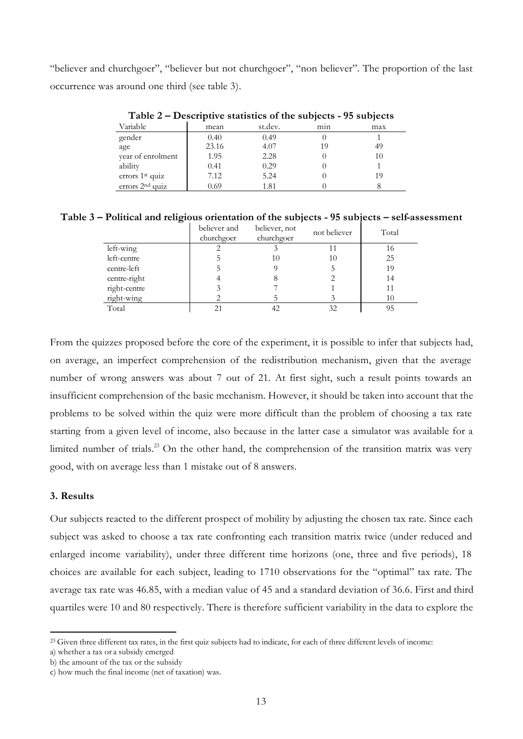"believer and churchgoer", "believer but not churchgoer", "non believer". The proportion of the last occurrence was around one third (see table 3).

| mean  | st.dev. | min | max                                                                                                                                                                                                                            |
|-------|---------|-----|--------------------------------------------------------------------------------------------------------------------------------------------------------------------------------------------------------------------------------|
| 0.40  | 0.49    |     |                                                                                                                                                                                                                                |
| 23.16 | 4.07    | 19  | 49                                                                                                                                                                                                                             |
| 1.95  | 2.28    |     | 10                                                                                                                                                                                                                             |
| 0.41  | 0.29    |     |                                                                                                                                                                                                                                |
| 7.12  | 5.24    |     | 19                                                                                                                                                                                                                             |
| 0.69  | 1.81    |     |                                                                                                                                                                                                                                |
|       |         |     | $\sim$ 0.000 0.000 0.000 0.000 0.000 0.000 0.000 0.000 0.000 0.000 0.000 0.000 0.000 0.000 0.000 0.000 0.000 0.000 0.000 0.000 0.000 0.000 0.000 0.000 0.000 0.000 0.000 0.000 0.000 0.000 0.000 0.000 0.000 0.000 0.000 0.000 |

**Table 2 – Descriptive statistics of the subjects - 95 subjects**

**Table 3 – Political and religious orientation of the subjects - 95 subjects – self-assessment**

|              | believer and<br>churchgoer | believer, not<br>churchgoer | not believer | Total |
|--------------|----------------------------|-----------------------------|--------------|-------|
| left-wing    |                            |                             |              | 16    |
| left-centre  |                            | 10                          | 10           | 25    |
| centre-left  |                            |                             |              | 19    |
| centre-right |                            |                             |              | 14    |
| right-centre |                            |                             |              |       |
| right-wing   |                            |                             |              | 10    |
| Total        |                            | 42                          | 32           | 95    |

From the quizzes proposed before the core of the experiment, it is possible to infer that subjects had, on average, an imperfect comprehension of the redistribution mechanism, given that the average number of wrong answers was about 7 out of 21. At first sight, such a result points towards an insufficient comprehension of the basic mechanism. However, it should be taken into account that the problems to be solved within the quiz were more difficult than the problem of choosing a tax rate starting from a given level of income, also because in the latter case a simulator was available for a limited number of trials.<sup>23</sup> On the other hand, the comprehension of the transition matrix was very good, with on average less than 1 mistake out of 8 answers.

#### **3. Results**

 $\overline{a}$ 

Our subjects reacted to the different prospect of mobility by adjusting the chosen tax rate. Since each subject was asked to choose a tax rate confronting each transition matrix twice (under reduced and enlarged income variability), under three different time horizons (one, three and five periods), 18 choices are available for each subject, leading to 1710 observations for the "optimal" tax rate. The average tax rate was 46.85, with a median value of 45 and a standard deviation of 36.6. First and third quartiles were 10 and 80 respectively. There is therefore sufficient variability in the data to explore the

<sup>&</sup>lt;sup>23</sup> Given three different tax rates, in the first quiz subjects had to indicate, for each of three different levels of income:

a) whether a tax or a subsidy emerged

b) the amount of the tax or the subsidy

c) how much the final income (net of taxation) was.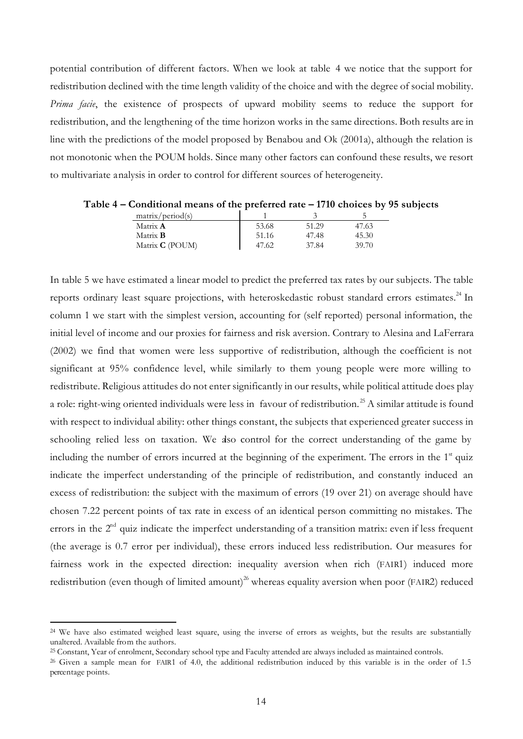potential contribution of different factors. When we look at table 4 we notice that the support for redistribution declined with the time length validity of the choice and with the degree of social mobility. *Prima facie*, the existence of prospects of upward mobility seems to reduce the support for redistribution, and the lengthening of the time horizon works in the same directions. Both results are in line with the predictions of the model proposed by Benabou and Ok (2001a), although the relation is not monotonic when the POUM holds. Since many other factors can confound these results, we resort to multivariate analysis in order to control for different sources of heterogeneity.

| matrix/period(s)  |       |       |         |                              |
|-------------------|-------|-------|---------|------------------------------|
| Matrix <b>A</b>   | 53.68 | 51.29 | 47.63   |                              |
| Matrix <b>B</b>   | 51.16 | 47.48 | 45.30   |                              |
| Matrix $C$ (POUM) | 47.62 | 37.84 | 39.70   |                              |
|                   |       |       | ------- | $-1 - 0 - 0 - 0 - 0 - 0 - 0$ |

**Table 4 – Conditional means of the preferred rate – 1710 choices by 95 subjects**

In table 5 we have estimated a linear model to predict the preferred tax rates by our subjects. The table reports ordinary least square projections, with heteroskedastic robust standard errors estimates.<sup>24</sup> In column 1 we start with the simplest version, accounting for (self reported) personal information, the initial level of income and our proxies for fairness and risk aversion. Contrary to Alesina and LaFerrara (2002) we find that women were less supportive of redistribution, although the coefficient is not significant at 95% confidence level, while similarly to them young people were more willing to redistribute. Religious attitudes do not enter significantly in our results, while political attitude does play a role: right-wing oriented individuals were less in favour of redistribution. <sup>25</sup> A similar attitude is found with respect to individual ability: other things constant, the subjects that experienced greater success in schooling relied less on taxation. We also control for the correct understanding of the game by including the number of errors incurred at the beginning of the experiment. The errors in the  $1<sup>st</sup>$  quiz indicate the imperfect understanding of the principle of redistribution, and constantly induced an excess of redistribution: the subject with the maximum of errors (19 over 21) on average should have chosen 7.22 percent points of tax rate in excess of an identical person committing no mistakes. The errors in the  $2<sup>nd</sup>$  quiz indicate the imperfect understanding of a transition matrix: even if less frequent (the average is 0.7 error per individual), these errors induced less redistribution. Our measures for fairness work in the expected direction: inequality aversion when rich (FAIR1) induced more redistribution (even though of limited amount)<sup>26</sup> whereas equality aversion when poor (FAIR2) reduced

<sup>&</sup>lt;sup>24</sup> We have also estimated weighed least square, using the inverse of errors as weights, but the results are substantially unaltered. Available from the authors.

<sup>&</sup>lt;sup>25</sup> Constant, Year of enrolment, Secondary school type and Faculty attended are always included as maintained controls.

<sup>&</sup>lt;sup>26</sup> Given a sample mean for FAIR1 of 4.0, the additional redistribution induced by this variable is in the order of 1.5 percentage points.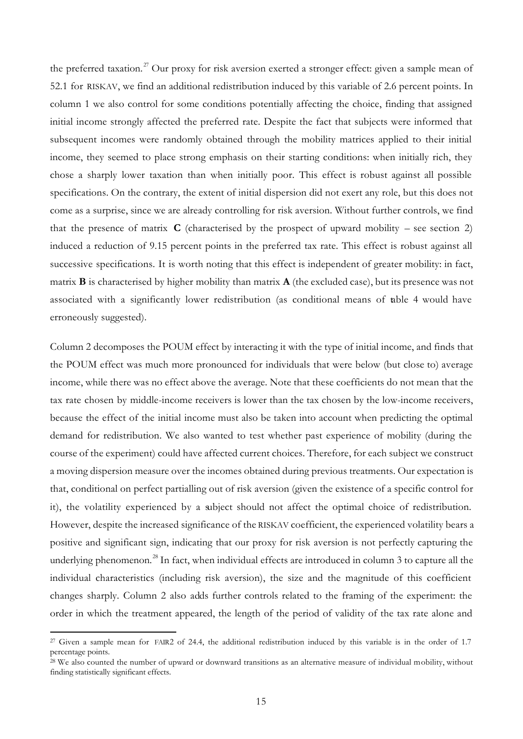the preferred taxation.<sup>27</sup> Our proxy for risk aversion exerted a stronger effect: given a sample mean of 52.1 for RISKAV, we find an additional redistribution induced by this variable of 2.6 percent points. In column 1 we also control for some conditions potentially affecting the choice, finding that assigned initial income strongly affected the preferred rate. Despite the fact that subjects were informed that subsequent incomes were randomly obtained through the mobility matrices applied to their initial income, they seemed to place strong emphasis on their starting conditions: when initially rich, they chose a sharply lower taxation than when initially poor. This effect is robust against all possible specifications. On the contrary, the extent of initial dispersion did not exert any role, but this does not come as a surprise, since we are already controlling for risk aversion. Without further controls, we find that the presence of matrix  $C$  (characterised by the prospect of upward mobility – see section 2) induced a reduction of 9.15 percent points in the preferred tax rate. This effect is robust against all successive specifications. It is worth noting that this effect is independent of greater mobility: in fact, matrix **B** is characterised by higher mobility than matrix **A** (the excluded case), but its presence was not associated with a significantly lower redistribution (as conditional means of table 4 would have erroneously suggested).

Column 2 decomposes the POUM effect by interacting it with the type of initial income, and finds that the POUM effect was much more pronounced for individuals that were below (but close to) average income, while there was no effect above the average. Note that these coefficients do not mean that the tax rate chosen by middle-income receivers is lower than the tax chosen by the low-income receivers, because the effect of the initial income must also be taken into account when predicting the optimal demand for redistribution. We also wanted to test whether past experience of mobility (during the course of the experiment) could have affected current choices. Therefore, for each subject we construct a moving dispersion measure over the incomes obtained during previous treatments. Our expectation is that, conditional on perfect partialling out of risk aversion (given the existence of a specific control for it), the volatility experienced by a subject should not affect the optimal choice of redistribution. However, despite the increased significance of the RISKAV coefficient, the experienced volatility bears a positive and significant sign, indicating that our proxy for risk aversion is not perfectly capturing the underlying phenomenon.<sup>28</sup> In fact, when individual effects are introduced in column 3 to capture all the individual characteristics (including risk aversion), the size and the magnitude of this coefficient changes sharply. Column 2 also adds further controls related to the framing of the experiment: the order in which the treatment appeared, the length of the period of validity of the tax rate alone and

<sup>27</sup> Given a sample mean for FAIR2 of 24.4, the additional redistribution induced by this variable is in the order of 1.7 percentage points.

<sup>&</sup>lt;sup>28</sup> We also counted the number of upward or downward transitions as an alternative measure of individual mobility, without finding statistically significant effects.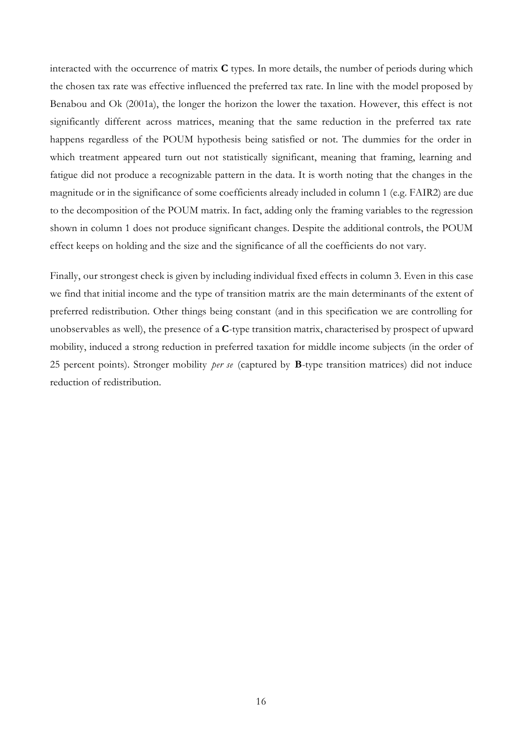interacted with the occurrence of matrix **C** types. In more details, the number of periods during which the chosen tax rate was effective influenced the preferred tax rate. In line with the model proposed by Benabou and Ok (2001a), the longer the horizon the lower the taxation. However, this effect is not significantly different across matrices, meaning that the same reduction in the preferred tax rate happens regardless of the POUM hypothesis being satisfied or not. The dummies for the order in which treatment appeared turn out not statistically significant, meaning that framing, learning and fatigue did not produce a recognizable pattern in the data. It is worth noting that the changes in the magnitude or in the significance of some coefficients already included in column 1 (e.g. FAIR2) are due to the decomposition of the POUM matrix. In fact, adding only the framing variables to the regression shown in column 1 does not produce significant changes. Despite the additional controls, the POUM effect keeps on holding and the size and the significance of all the coefficients do not vary.

Finally, our strongest check is given by including individual fixed effects in column 3. Even in this case we find that initial income and the type of transition matrix are the main determinants of the extent of preferred redistribution. Other things being constant (and in this specification we are controlling for unobservables as well), the presence of a **C**-type transition matrix, characterised by prospect of upward mobility, induced a strong reduction in preferred taxation for middle income subjects (in the order of 25 percent points). Stronger mobility *per se* (captured by **B**-type transition matrices) did not induce reduction of redistribution.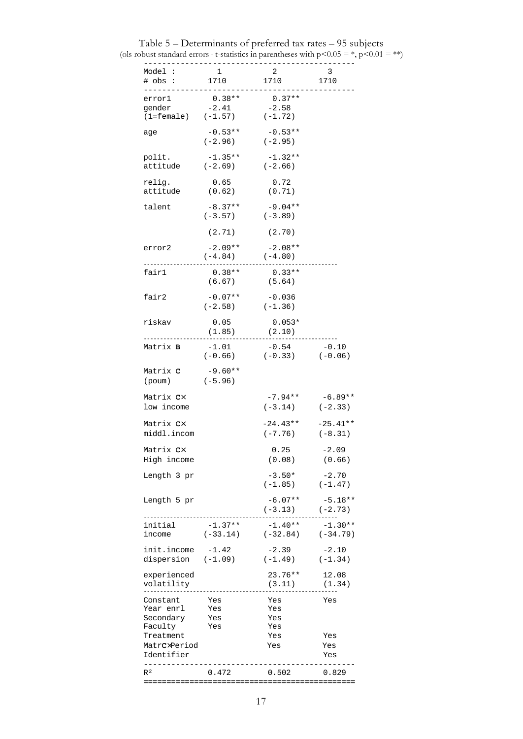| Model :<br>$\#$ obs :<br>---------                         | 1<br>1710                | 2<br>1710                        | $\overline{\mathbf{3}}$<br>1710 |
|------------------------------------------------------------|--------------------------|----------------------------------|---------------------------------|
| errorl<br>gender<br>$(1 = female)$ $(-1.57)$               | $0.38**$<br>$-2.41$      | $0.37**$<br>$-2.58$<br>$(-1.72)$ |                                 |
| age                                                        | $-0.53**$<br>$(-2.96)$   | $-0.53**$<br>$(-2.95)$           |                                 |
| polit.<br>attitude                                         | $-1.35**$<br>$(-2.69)$   | $-1.32**$<br>$(-2.66)$           |                                 |
| relig.<br>attitude                                         | 0.65<br>(0.62)           | 0.72<br>(0.71)                   |                                 |
| talent                                                     | $-8.37**$<br>$(-3.57)$   | $-9.04**$<br>$(-3.89)$           |                                 |
|                                                            | (2.71)                   | (2.70)                           |                                 |
| error2                                                     | $-2.09**$<br>$(-4.84)$   | $-2.08**$<br>$(-4.80)$           |                                 |
| fairl                                                      | $0.38**$<br>(6.67)       | $0.33**$<br>(5.64)               |                                 |
| fair2                                                      | $-0.07**$<br>$(-2.58)$   | $-0.036$<br>$(-1.36)$            |                                 |
| riskav                                                     | 0.05<br>(1.85)           | $0.053*$<br>(2.10)               |                                 |
| Matrix <b>B</b>                                            | $-1.01$<br>$(-0.66)$     | $-0.54$<br>$(-0.33)$             | $-0.10$<br>$(-0.06)$            |
| Matrix C<br>(poum)                                         | $-9.60**$<br>$(-5.96)$   |                                  |                                 |
| Matrix <b>C</b> X<br>low income                            |                          | $-7.94**$<br>$(-3.14)$           | $-6.89**$<br>$(-2.33)$          |
| Matrix C×<br>middl.incom                                   |                          | $-24.43**$<br>$(-7.76)$          | $-25.41**$<br>$(-8.31)$         |
| Matrix <b>C</b> X<br>High income                           |                          | 0.25<br>(0.08)                   | $-2.09$<br>(0.66)               |
| Length 3 pr                                                |                          | $-3.50*$<br>$(-1.85)$            | $-2.70$<br>$(-1.47)$            |
| Length 5 pr                                                |                          | $-6.07**$<br>$(-3.13)$           | $-5.18**$<br>$(-2.73)$          |
| initial<br>income                                          | $-1.37**$<br>$(-33.14)$  | $-1.40**$<br>$(-32.84)$          | $-1.30**$<br>$(-34.79)$         |
| init.income -1.42<br>dispersion (-1.09)                    |                          | $-2.39$<br>$(-1.49)$             | $-2.10$<br>$(-1.34)$            |
| experienced<br>volatility                                  |                          | $23.76**$<br>(3.11)              | 12.08<br>(1.34)                 |
| Constant<br>Year enrl<br>Secondary<br>Faculty<br>Treatment | Yes<br>Yes<br>Yes<br>Yes | Yes<br>Yes<br>Yes<br>Yes<br>Yes  | Yes<br>Yes                      |
| MatrC×Period<br>Identifier                                 |                          | Yes                              | Yes<br>Yes                      |
| $R^2$                                                      | 0.472                    | 0.502                            | 0.829                           |

Table 5 – Determinants of preferred tax rates – 95 subjects (ols robust standard errors - t-statistics in parentheses with  $p < 0.05 = *, p < 0.01 = **$ )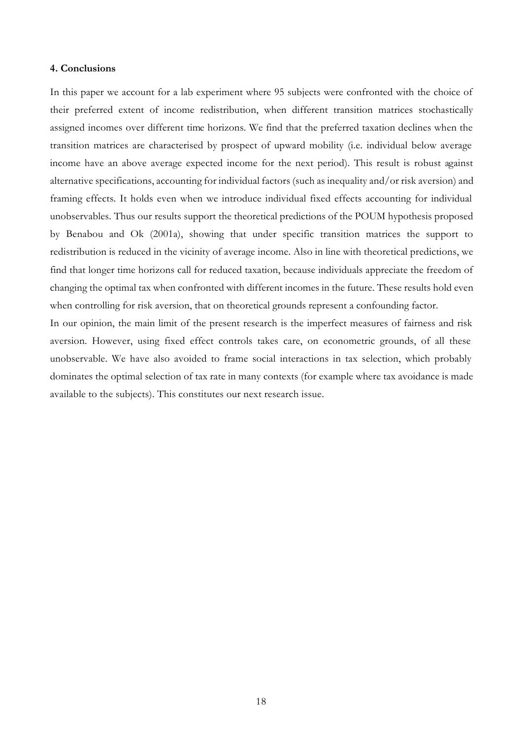#### **4. Conclusions**

In this paper we account for a lab experiment where 95 subjects were confronted with the choice of their preferred extent of income redistribution, when different transition matrices stochastically assigned incomes over different time horizons. We find that the preferred taxation declines when the transition matrices are characterised by prospect of upward mobility (i.e. individual below average income have an above average expected income for the next period). This result is robust against alternative specifications, accounting for individual factors (such as inequality and/or risk aversion) and framing effects. It holds even when we introduce individual fixed effects accounting for individual unobservables. Thus our results support the theoretical predictions of the POUM hypothesis proposed by Benabou and Ok (2001a), showing that under specific transition matrices the support to redistribution is reduced in the vicinity of average income. Also in line with theoretical predictions, we find that longer time horizons call for reduced taxation, because individuals appreciate the freedom of changing the optimal tax when confronted with different incomes in the future. These results hold even when controlling for risk aversion, that on theoretical grounds represent a confounding factor.

In our opinion, the main limit of the present research is the imperfect measures of fairness and risk aversion. However, using fixed effect controls takes care, on econometric grounds, of all these unobservable. We have also avoided to frame social interactions in tax selection, which probably dominates the optimal selection of tax rate in many contexts (for example where tax avoidance is made available to the subjects). This constitutes our next research issue.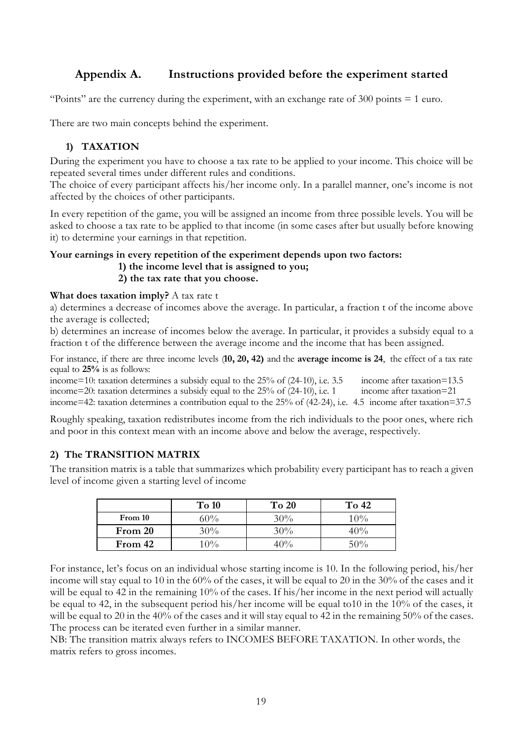## **Appendix A. Instructions provided before the experiment started**

"Points" are the currency during the experiment, with an exchange rate of 300 points = 1 euro.

There are two main concepts behind the experiment.

#### **1) TAXATION**

During the experiment you have to choose a tax rate to be applied to your income. This choice will be repeated several times under different rules and conditions.

The choice of every participant affects his/her income only. In a parallel manner, one's income is not affected by the choices of other participants.

In every repetition of the game, you will be assigned an income from three possible levels. You will be asked to choose a tax rate to be applied to that income (in some cases after but usually before knowing it) to determine your earnings in that repetition.

#### **Your earnings in every repetition of the experiment depends upon two factors:**

 **1) the income level that is assigned to you; 2) the tax rate that you choose.**

#### **What does taxation imply?** A tax rate t

a) determines a decrease of incomes above the average. In particular, a fraction t of the income above the average is collected;

b) determines an increase of incomes below the average. In particular, it provides a subsidy equal to a fraction t of the difference between the average income and the income that has been assigned.

For instance, if there are three income levels (**10, 20, 42)** and the **average income is 24**, the effect of a tax rate equal to **25%** is as follows:

income=10: taxation determines a subsidy equal to the 25% of (24-10), i.e. 3.5 income after taxation=13.5 income=20: taxation determines a subsidy equal to the 25% of  $(24-10)$ , i.e. 1 income after taxation=21 income=42: taxation determines a contribution equal to the 25% of (42-24), i.e. 4.5 income after taxation=37.5

Roughly speaking, taxation redistributes income from the rich individuals to the poor ones, where rich and poor in this context mean with an income above and below the average, respectively.

#### **2) The TRANSITION MATRIX**

The transition matrix is a table that summarizes which probability every participant has to reach a given level of income given a starting level of income

|         | <b>To 10</b> | <b>To 20</b> | <b>To 42</b> |
|---------|--------------|--------------|--------------|
| From 10 | 60%          | 30%          | 10%          |
| From 20 | $30\%$       | 30%          | 40%          |
| From 42 | $10\%$       |              | $50\%$       |

For instance, let's focus on an individual whose starting income is 10. In the following period, his/her income will stay equal to 10 in the 60% of the cases, it will be equal to 20 in the 30% of the cases and it will be equal to 42 in the remaining 10% of the cases. If his/her income in the next period will actually be equal to 42, in the subsequent period his/her income will be equal to10 in the 10% of the cases, it will be equal to 20 in the 40% of the cases and it will stay equal to 42 in the remaining 50% of the cases. The process can be iterated even further in a similar manner.

NB: The transition matrix always refers to INCOMES BEFORE TAXATION. In other words, the matrix refers to gross incomes.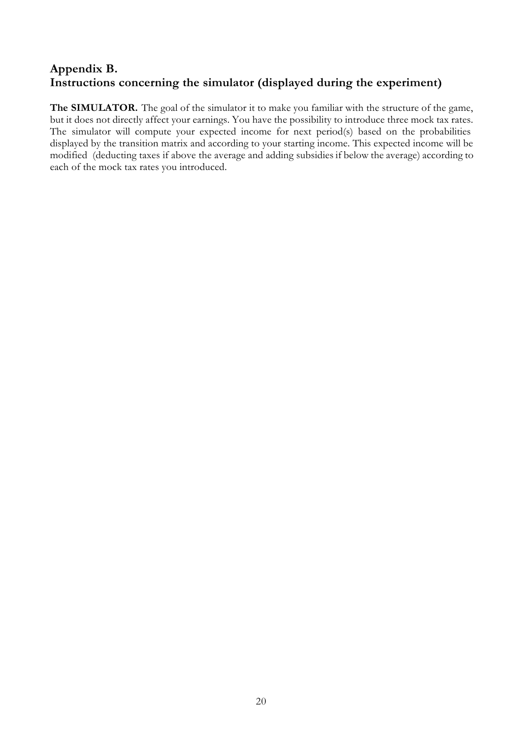## **Appendix B. Instructions concerning the simulator (displayed during the experiment)**

**The SIMULATOR.** The goal of the simulator it to make you familiar with the structure of the game, but it does not directly affect your earnings. You have the possibility to introduce three mock tax rates. The simulator will compute your expected income for next period(s) based on the probabilities displayed by the transition matrix and according to your starting income. This expected income will be modified (deducting taxes if above the average and adding subsidies if below the average) according to each of the mock tax rates you introduced.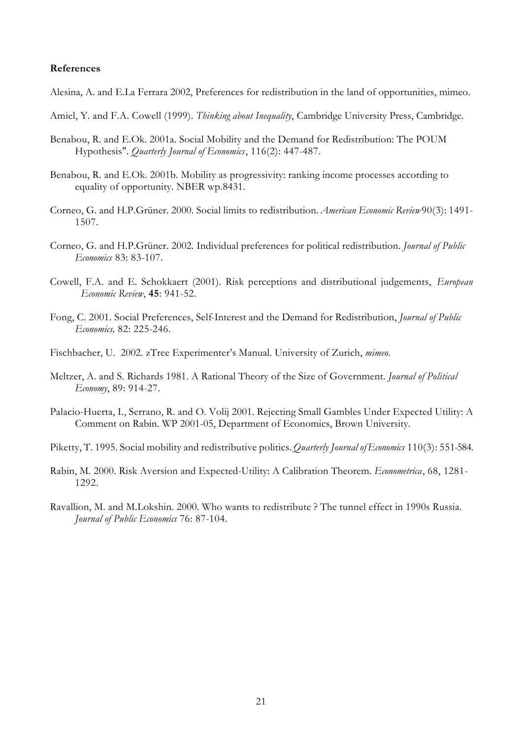#### **References**

Alesina, A. and E.La Ferrara 2002, Preferences for redistribution in the land of opportunities, mimeo.

- Amiel, Y. and F.A. Cowell (1999). *Thinking about Inequality*, Cambridge University Press, Cambridge.
- Benabou, R. and E.Ok. 2001a. Social Mobility and the Demand for Redistribution: The POUM Hypothesis". *Quarterly Journal of Economics*, 116(2): 447-487.
- Benabou, R. and E.Ok. 2001b. Mobility as progressivity: ranking income processes according to equality of opportunity. NBER wp.8431.
- Corneo, G. and H.P.Grüner. 2000. Social limits to redistribution. *American Economic Review* 90(3): 1491- 1507.
- Corneo, G. and H.P.Grüner. 2002. Individual preferences for political redistribution. *Journal of Public Economics* 83: 83-107.
- Cowell, F.A. and E. Schokkaert (2001). Risk perceptions and distributional judgements, *European Economic Review*, **45**: 941-52.
- Fong, C. 2001. Social Preferences, Self-Interest and the Demand for Redistribution, *Journal of Public Economics,* 82: 225-246.
- Fischbacher, U. 2002. zTree Experimenter's Manual. University of Zurich, *mimeo.*
- Meltzer, A. and S. Richards 1981. A Rational Theory of the Size of Government. *Journal of Political Economy*, 89: 914-27.
- Palacio-Huerta, I., Serrano, R. and O. Volij 2001. Rejecting Small Gambles Under Expected Utility: A Comment on Rabin. WP 2001-05, Department of Economics, Brown University.
- Piketty, T. 1995. Social mobility and redistributive politics. *Quarterly Journal of Economics* 110(3): 551-584.
- Rabin, M. 2000. Risk Aversion and Expected-Utility: A Calibration Theorem. *Econometrica*, 68, 1281- 1292.
- Ravallion, M. and M.Lokshin. 2000. Who wants to redistribute ? The tunnel effect in 1990s Russia. *Journal of Public Economics* 76: 87-104.